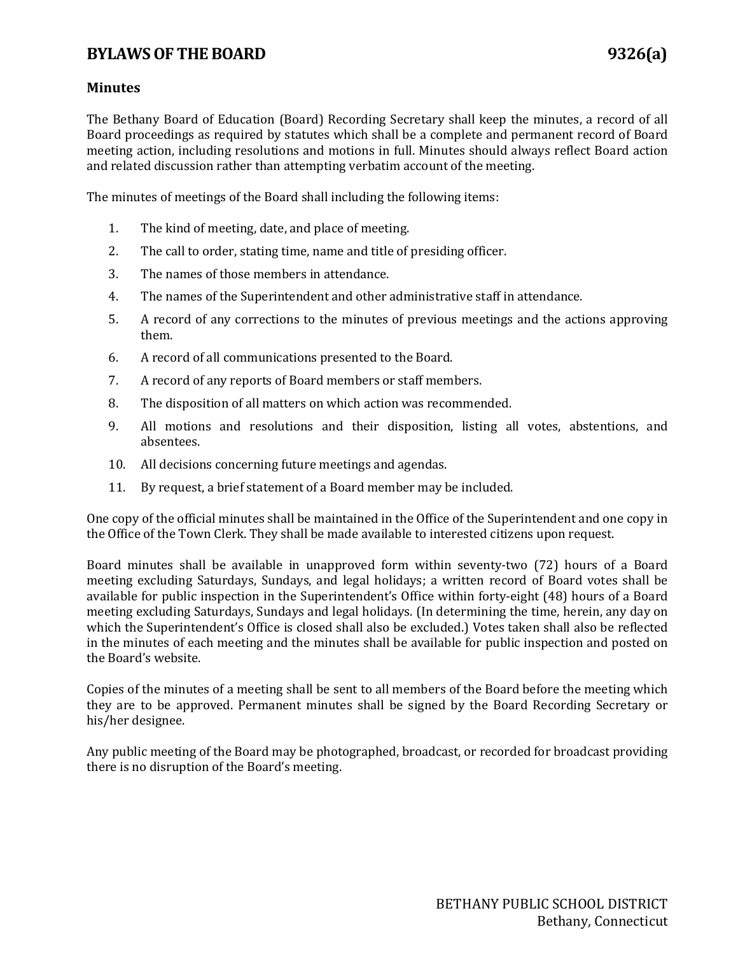## **BYLAWS OF THE BOARD 9326(a)**

## **Minutes**

The Bethany Board of Education (Board) Recording Secretary shall keep the minutes, a record of all Board proceedings as required by statutes which shall be a complete and permanent record of Board meeting action, including resolutions and motions in full. Minutes should always reflect Board action and related discussion rather than attempting verbatim account of the meeting.

The minutes of meetings of the Board shall including the following items:

- 1. The kind of meeting, date, and place of meeting.
- 2. The call to order, stating time, name and title of presiding officer.
- 3. The names of those members in attendance.
- 4. The names of the Superintendent and other administrative staff in attendance.
- 5. A record of any corrections to the minutes of previous meetings and the actions approving them.
- 6. A record of all communications presented to the Board.
- 7. A record of any reports of Board members or staff members.
- 8. The disposition of all matters on which action was recommended.
- 9. All motions and resolutions and their disposition, listing all votes, abstentions, and absentees.
- 10. All decisions concerning future meetings and agendas.
- 11. By request, a brief statement of a Board member may be included.

One copy of the official minutes shall be maintained in the Office of the Superintendent and one copy in the Office of the Town Clerk. They shall be made available to interested citizens upon request.

Board minutes shall be available in unapproved form within seventy-two (72) hours of a Board meeting excluding Saturdays, Sundays, and legal holidays; a written record of Board votes shall be available for public inspection in the Superintendent's Office within forty-eight (48) hours of a Board meeting excluding Saturdays, Sundays and legal holidays. (In determining the time, herein, any day on which the Superintendent's Office is closed shall also be excluded.) Votes taken shall also be reflected in the minutes of each meeting and the minutes shall be available for public inspection and posted on the Board's website.

Copies of the minutes of a meeting shall be sent to all members of the Board before the meeting which they are to be approved. Permanent minutes shall be signed by the Board Recording Secretary or his/her designee.

Any public meeting of the Board may be photographed, broadcast, or recorded for broadcast providing there is no disruption of the Board's meeting.